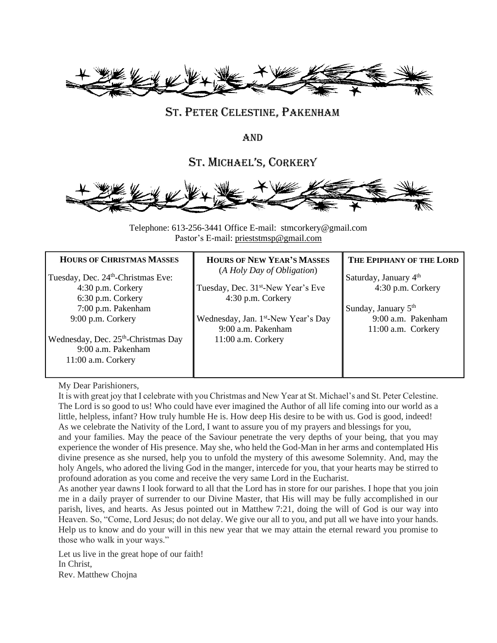

## ST. PETER CELESTINE, PAKENHAM

AND

ST. MICHAEL'S, CORKERY



Telephone: 613-256-3441 Office E-mail: stmcorkery@gmail.com Pastor's E-mail: [prieststmsp@gmail.com](mailto:prieststmsp@gmail.com)

| <b>HOURS OF CHRISTMAS MASSES</b>                                                              | <b>HOURS OF NEW YEAR'S MASSES</b>                                     | THE EPIPHANY OF THE LORD                 |
|-----------------------------------------------------------------------------------------------|-----------------------------------------------------------------------|------------------------------------------|
| Tuesday, Dec. 24 <sup>th</sup> -Christmas Eve:                                                | (A Holy Day of Obligation)                                            | Saturday, January 4 <sup>th</sup>        |
| $4:30$ p.m. Corkery<br>6:30 p.m. Corkery                                                      | Tuesday, Dec. 31 <sup>st</sup> -New Year's Eve<br>4:30 p.m. Corkery   | $4:30$ p.m. Corkery                      |
| 7:00 p.m. Pakenham                                                                            |                                                                       | Sunday, January $5th$                    |
| 9:00 p.m. Corkery                                                                             | Wednesday, Jan. 1 <sup>st</sup> -New Year's Day<br>9:00 a.m. Pakenham | 9:00 a.m. Pakenham<br>11:00 a.m. Corkery |
| Wednesday, Dec. 25 <sup>th</sup> -Christmas Day<br>9:00 a.m. Pakenham<br>$11:00$ a.m. Corkery | 11:00 a.m. Corkery                                                    |                                          |

My Dear Parishioners,

It is with great joy that I celebrate with you Christmas and New Year at St. Michael's and St. Peter Celestine. The Lord is so good to us! Who could have ever imagined the Author of all life coming into our world as a little, helpless, infant? How truly humble He is. How deep His desire to be with us. God is good, indeed! As we celebrate the Nativity of the Lord, I want to assure you of my prayers and blessings for you,

and your families. May the peace of the Saviour penetrate the very depths of your being, that you may experience the wonder of His presence. May she, who held the God-Man in her arms and contemplated His divine presence as she nursed, help you to unfold the mystery of this awesome Solemnity. And, may the holy Angels, who adored the living God in the manger, intercede for you, that your hearts may be stirred to profound adoration as you come and receive the very same Lord in the Eucharist.

As another year dawns I look forward to all that the Lord has in store for our parishes. I hope that you join me in a daily prayer of surrender to our Divine Master, that His will may be fully accomplished in our parish, lives, and hearts. As Jesus pointed out in Matthew 7:21, doing the will of God is our way into Heaven. So, "Come, Lord Jesus; do not delay. We give our all to you, and put all we have into your hands. Help us to know and do your will in this new year that we may attain the eternal reward you promise to those who walk in your ways."

Let us live in the great hope of our faith! In Christ, Rev. Matthew Chojna